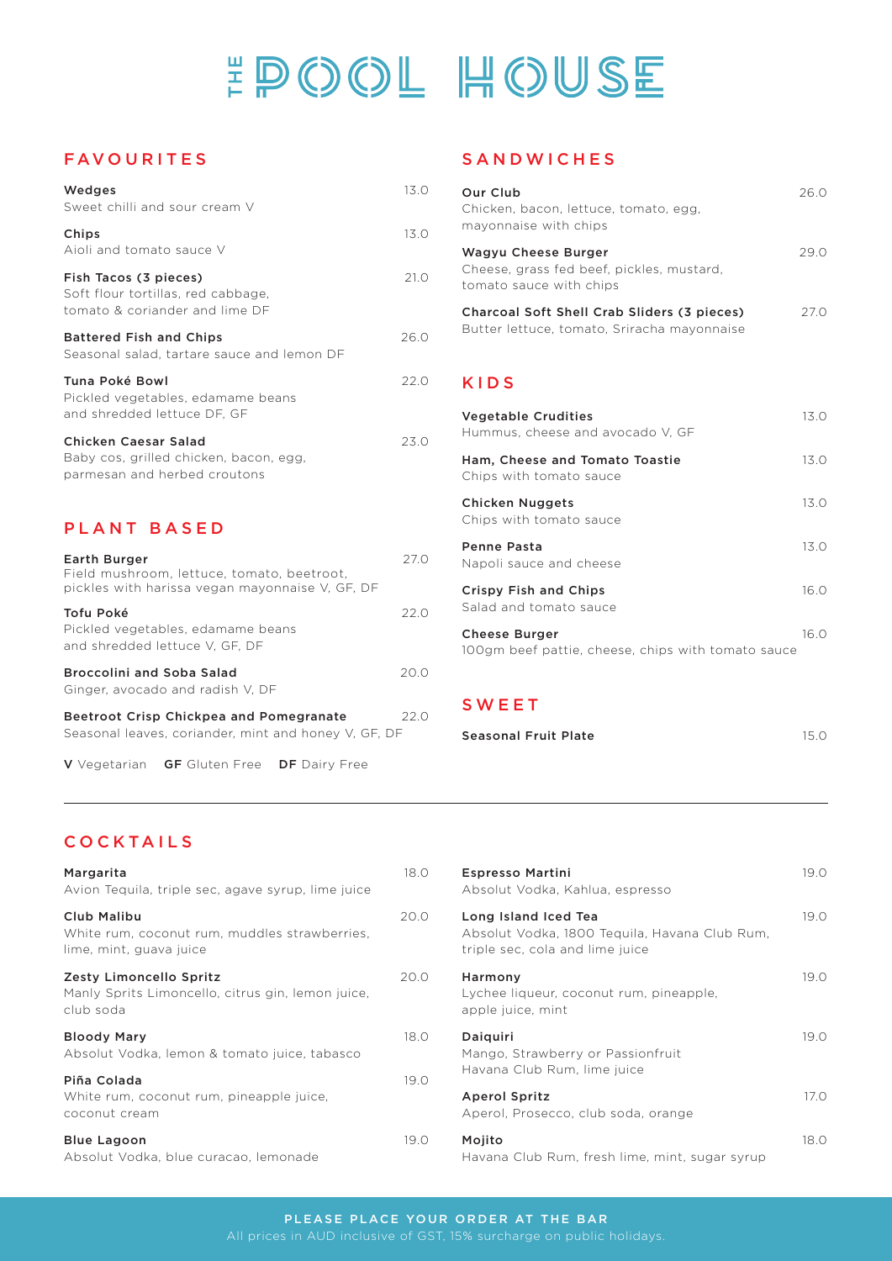# #POOL HOUSE

### FAVOURITES

| Wedges<br>Sweet chilli and sour cream V                                                                       | 13.0  |
|---------------------------------------------------------------------------------------------------------------|-------|
| Chips<br>Aioli and tomato sauce V                                                                             | 13.0  |
| Fish Tacos (3 pieces)<br>Soft flour tortillas, red cabbage,<br>tomato & coriander and lime DF                 | 21.0  |
| <b>Battered Fish and Chips</b><br>Seasonal salad, tartare sauce and lemon DF                                  | 26.0  |
| Tuna Poké Bowl<br>Pickled vegetables, edamame beans<br>and shredded lettuce DF, GF                            | 22.0  |
| Chicken Caesar Salad<br>Baby cos, grilled chicken, bacon, egg,<br>parmesan and herbed croutons                | 23.0  |
| PLANT BASED                                                                                                   |       |
| Earth Burger<br>Field mushroom, lettuce, tomato, beetroot,<br>pickles with harissa vegan mayonnaise V, GF, DF | 27.0  |
| Tofu Doká                                                                                                     | 22 O. |

| TUIU PUKE<br>Pickled vegetables, edamame beans<br>and shredded lettuce V, GF, DF | 77 V |
|----------------------------------------------------------------------------------|------|
| <b>Broccolini and Soba Salad</b><br>Ginger, avocado and radish V, DF             | 20.0 |
| Beetroot Crisp Chickpea and Pomegranate                                          | 22 O |

Seasonal leaves, coriander, mint and honey V, GF, DF

V Vegetarian GF Gluten Free DF Dairy Free

#### SANDWICHES

| Our Club<br>Chicken, bacon, lettuce, tomato, egg,<br>mayonnaise with chips                  | 26 O |
|---------------------------------------------------------------------------------------------|------|
| Wagyu Cheese Burger<br>Cheese, grass fed beef, pickles, mustard,<br>tomato sauce with chips | 29.0 |
| Charcoal Soft Shell Crab Sliders (3 pieces)<br>Butter lettuce, tomato, Sriracha mayonnaise  | 27 O |

### KIDS

| <b>Vegetable Crudities</b><br>Hummus, cheese and avocado V. GF             | 13() |
|----------------------------------------------------------------------------|------|
| Ham, Cheese and Tomato Toastie<br>Chips with tomato sauce                  | 13.0 |
| Chicken Nuggets<br>Chips with tomato sauce                                 | 13.0 |
| <b>Penne Pasta</b><br>Napoli sauce and cheese                              | 13.0 |
| <b>Crispy Fish and Chips</b><br>Salad and tomato sauce                     | 16.0 |
| <b>Cheese Burger</b><br>100gm beef pattie, cheese, chips with tomato sauce | 16 O |

# SWEET

| Seasonal Fruit Plate | 15.0 |
|----------------------|------|
|                      |      |

# COCKTAILS

| Margarita<br>Avion Tequila, triple sec, agave syrup, lime juice                           | 18.0 |
|-------------------------------------------------------------------------------------------|------|
| Club Malibu<br>White rum, coconut rum, muddles strawberries,<br>lime, mint, guava juice   | 20.0 |
| Zesty Limoncello Spritz<br>Manly Sprits Limoncello, citrus gin, lemon juice,<br>club soda | 20.0 |
| <b>Bloody Mary</b><br>Absolut Vodka, lemon & tomato juice, tabasco                        | 18.0 |
| Piña Colada<br>White rum, coconut rum, pineapple juice,<br>coconut cream                  | 19.0 |
| <b>Blue Lagoon</b><br>Absolut Vodka, blue curacao, lemonade                               | 19.0 |

| <b>Espresso Martini</b><br>Absolut Vodka, Kahlua, espresso                                               | 19.0 |
|----------------------------------------------------------------------------------------------------------|------|
| Long Island Iced Tea<br>Absolut Vodka, 1800 Tequila, Havana Club Rum,<br>triple sec, cola and lime juice | 19.0 |
| Harmony<br>Lychee liqueur, coconut rum, pineapple,<br>apple juice, mint                                  | 19.0 |
| Daiguiri<br>Mango, Strawberry or Passionfruit<br>Havana Club Rum, lime juice                             | 19.0 |
| Aperol Spritz<br>Aperol, Prosecco, club soda, orange                                                     | 17.0 |
| Mojito<br>Havana Club Rum, fresh lime, mint, sugar syrup                                                 | 18.O |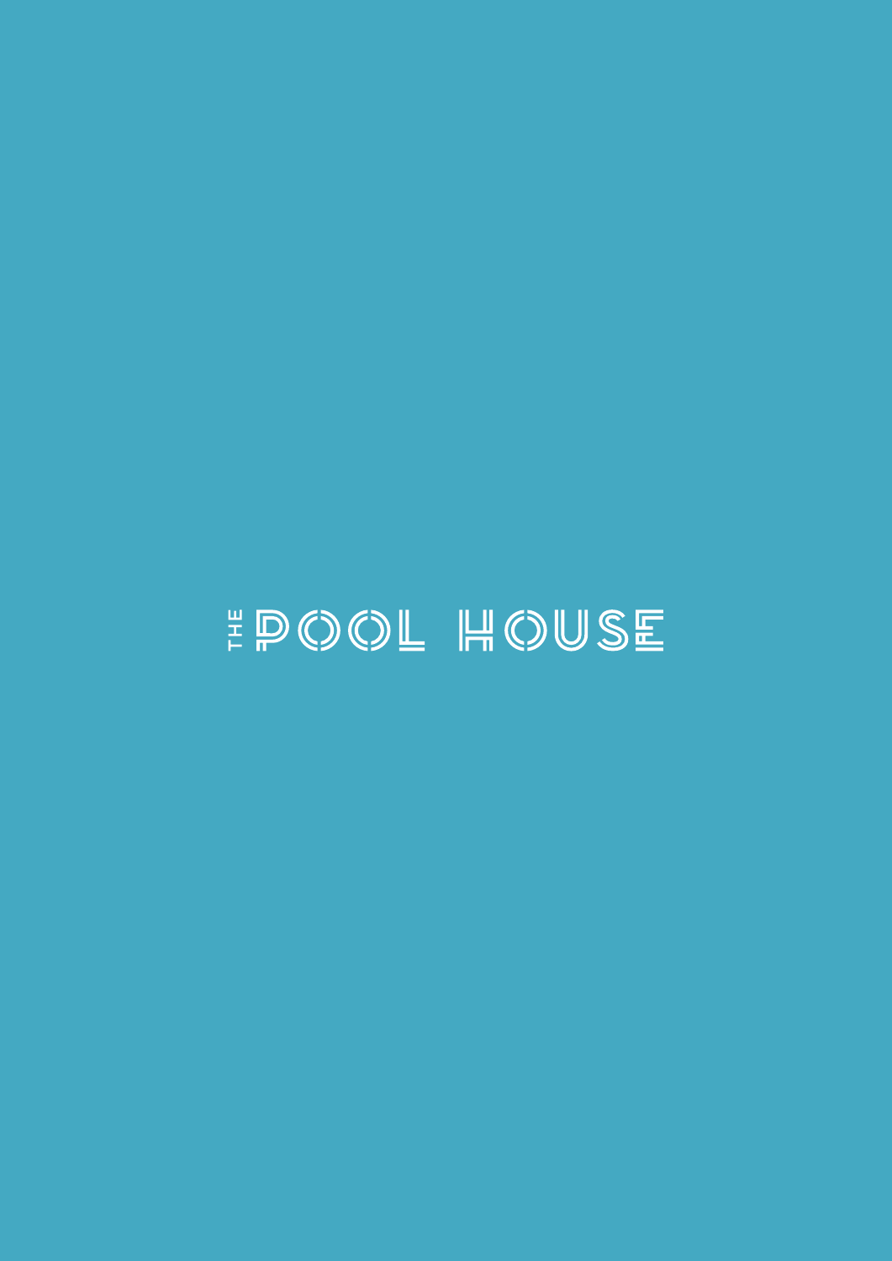# EPOOL HOUSE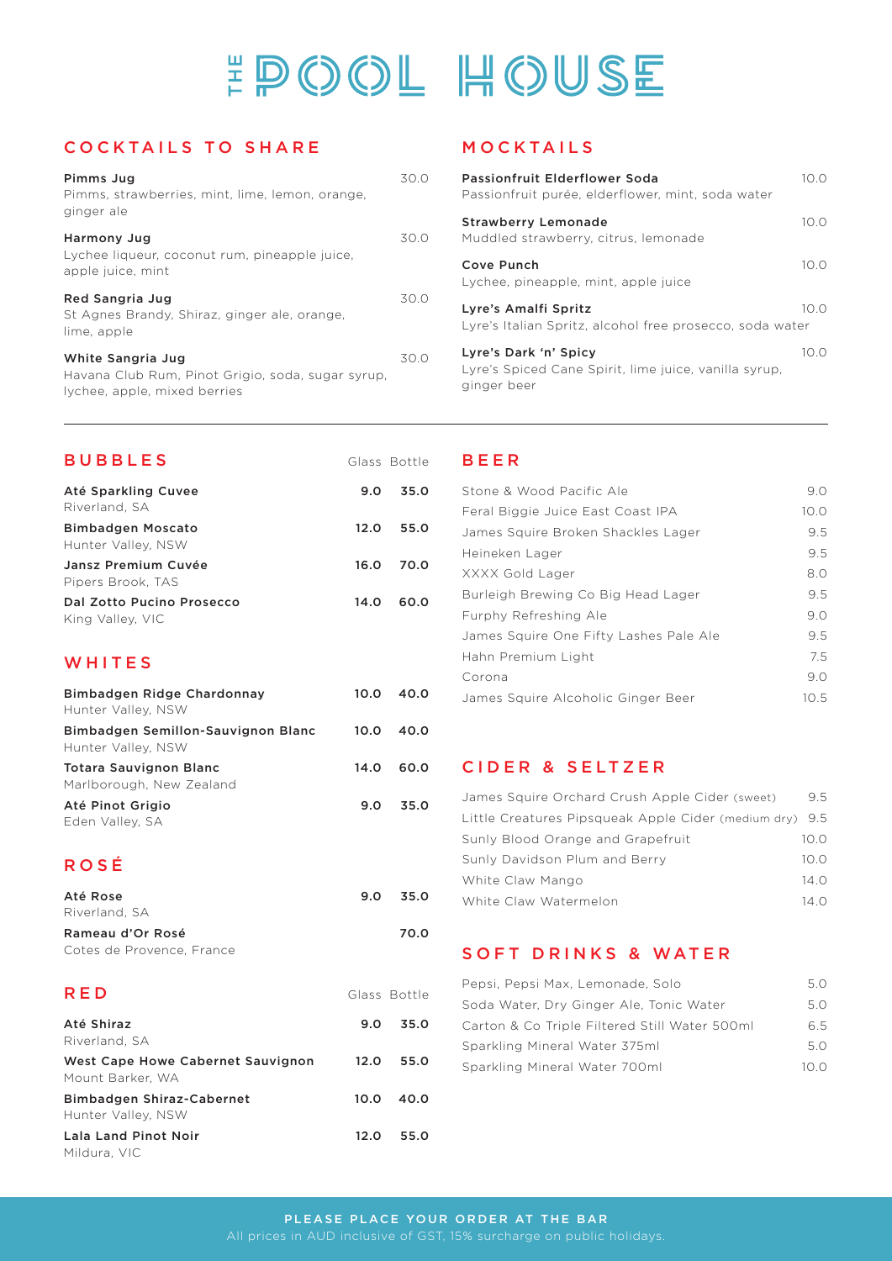# #POOL HOUSE

# COCKTAILS TO SHARE

| Pimms Jug<br>Pimms, strawberries, mint, lime, lemon, orange,<br>ginger ale                             | 30 O |
|--------------------------------------------------------------------------------------------------------|------|
| Harmony Jug<br>Lychee liqueur, coconut rum, pineapple juice,<br>apple juice, mint                      | 30 O |
| Red Sangria Jug<br>St Agnes Brandy, Shiraz, ginger ale, orange,<br>lime, apple                         | 30 O |
| White Sangria Jug<br>Havana Club Rum, Pinot Grigio, soda, sugar syrup,<br>lychee, apple, mixed berries | 30 O |

# MOCKTAILS

| Passionfruit Elderflower Soda<br>Passionfruit purée, elderflower, mint, soda water            | 10.O |
|-----------------------------------------------------------------------------------------------|------|
| <b>Strawberry Lemonade</b><br>Muddled strawberry, citrus, lemonade                            | 10.0 |
| Cove Punch<br>Lychee, pineapple, mint, apple juice                                            | 10.0 |
| Lyre's Amalfi Spritz<br>Lyre's Italian Spritz, alcohol free prosecco, soda water              | 100  |
| Lyre's Dark 'n' Spicy<br>Lyre's Spiced Cane Spirit, lime juice, vanilla syrup,<br>ginger beer | 10.0 |

| <b>BUBBLES</b>                                |      | Glass Bottle |
|-----------------------------------------------|------|--------------|
| Até Sparkling Cuvee<br>Riverland, SA          | 9.0  | 35.0         |
| Bimbadgen Moscato<br>Hunter Valley, NSW       | 12.0 | 55.0         |
| Jansz Premium Cuvée<br>Pipers Brook, TAS      | 16.0 | 70.0         |
| Dal Zotto Pucino Prosecco<br>King Valley, VIC | 14.0 | 60.0         |

# WHITES

| Bimbadgen Ridge Chardonnay<br>Hunter Valley, NSW          | 10.0 | 40.0 |
|-----------------------------------------------------------|------|------|
| Bimbadgen Semillon-Sauvignon Blanc<br>Hunter Valley, NSW  | 10.0 | 40.0 |
| <b>Totara Sauvignon Blanc</b><br>Marlborough, New Zealand | 14.0 | 60.0 |
| Até Pinot Grigio<br>Eden Valley, SA                       | 9.0  | 35.0 |

# ROSÉ

| Até Rose                          | 9.0 | 35.0 |
|-----------------------------------|-----|------|
| Riverland, SA<br>Rameau d'Or Rosé |     | 70.0 |
| Cotes de Provence, France         |     |      |

| <b>RED</b>                                            |      | Glass Bottle |
|-------------------------------------------------------|------|--------------|
| Até Shiraz<br>Riverland, SA                           | 9.0  | 35.0         |
| West Cape Howe Cabernet Sauvignon<br>Mount Barker. WA | 12.0 | 55.0         |
| Bimbadgen Shiraz-Cabernet<br>Hunter Valley, NSW       | 10.0 | 40.0         |
| Lala Land Pinot Noir<br>Mildura, VIC                  | 12.0 | 55.0         |

# BEER

| Stone & Wood Pacific Ale               | 9.0  |
|----------------------------------------|------|
| Feral Biggie Juice East Coast IPA      | 10.0 |
| James Squire Broken Shackles Lager     | 9.5  |
| Heineken Lager                         | 9.5  |
| XXXX Gold Lager                        | 8.0  |
| Burleigh Brewing Co Big Head Lager     | 9.5  |
| Furphy Refreshing Ale                  | 9.0  |
| James Squire One Fifty Lashes Pale Ale | 9.5  |
| Hahn Premium Light                     | 7.5  |
| Corona                                 | 9.0  |
| James Squire Alcoholic Ginger Beer     | 10.5 |

#### CIDER & SELTZER

| James Squire Orchard Crush Apple Cider (sweet)          | 9.5        |
|---------------------------------------------------------|------------|
| Little Creatures Pipsqueak Apple Cider (medium dry) 9.5 |            |
| Sunly Blood Orange and Grapefruit                       | 10.0       |
| Sunly Davidson Plum and Berry                           | 100        |
| White Claw Mango                                        | $14\Omega$ |
| White Claw Watermelon                                   | 14 O       |

#### SOFT DRINKS & WATER

| Pepsi, Pepsi Max, Lemonade, Solo              | 5.0  |
|-----------------------------------------------|------|
| Soda Water, Dry Ginger Ale, Tonic Water       | 5 O  |
| Carton & Co Triple Filtered Still Water 500ml | 65   |
| Sparkling Mineral Water 375ml                 | 5 O  |
| Sparkling Mineral Water 700ml                 | 10 O |